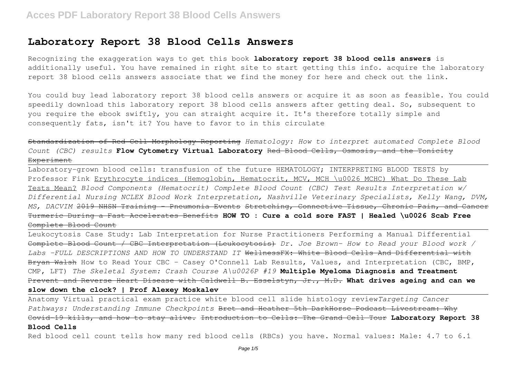## **Laboratory Report 38 Blood Cells Answers**

Recognizing the exaggeration ways to get this book **laboratory report 38 blood cells answers** is additionally useful. You have remained in right site to start getting this info. acquire the laboratory report 38 blood cells answers associate that we find the money for here and check out the link.

You could buy lead laboratory report 38 blood cells answers or acquire it as soon as feasible. You could speedily download this laboratory report 38 blood cells answers after getting deal. So, subsequent to you require the ebook swiftly, you can straight acquire it. It's therefore totally simple and consequently fats, isn't it? You have to favor to in this circulate

Standardization of Red Cell Morphology Reporting *Hematology: How to interpret automated Complete Blood Count (CBC) results* **Flow Cytometry Virtual Laboratory** Red Blood Cells, Osmosis, and the Tonicity **Experiment** 

Laboratory-grown blood cells: transfusion of the future HEMATOLOGY; INTERPRETING BLOOD TESTS by Professor Fink Erythrocyte indices (Hemoglobin, Hematocrit, MCV, MCH \u0026 MCHC) What Do These Lab Tests Mean? *Blood Components (Hematocrit) Complete Blood Count (CBC) Test Results Interpretation w/ Differential Nursing NCLEX Blood Work Interpretation, Nashville Veterinary Specialists, Kelly Wang, DVM, MS, DACVIM* 2019 NHSN Training - Pneumonia Events Stretching, Connective Tissue, Chronic Pain, and Cancer Turmeric During a Fast Accelerates Benefits **HOW TO : Cure a cold sore FAST | Healed \u0026 Scab Free** Complete Blood Count

Leukocytosis Case Study: Lab Interpretation for Nurse Practitioners Performing a Manual Differential Complete Blood Count / CBC Interpretation (Leukocytosis) *Dr. Joe Brown- How to Read your Blood work / Labs -FULL DESCRIPTIONS AND HOW TO UNDERSTAND IT* WellnessFX: White Blood Cells And Differential with Bryan Walsh How to Read Your CBC - Casey O'Connell Lab Results, Values, and Interpretation (CBC, BMP, CMP, LFT) *The Skeletal System: Crash Course A\u0026P #19* **Multiple Myeloma Diagnosis and Treatment** Prevent and Reverse Heart Disease with Caldwell B. Esselstyn, Jr., M.D. **What drives ageing and can we slow down the clock? | Prof Alexey Moskalev**

Anatomy Virtual practical exam practice white blood cell slide histology review*Targeting Cancer Pathways: Understanding Immune Checkpoints* Bret and Heather 5th DarkHorse Podcast Livestream: Why Covid-19 kills, and how to stay alive. Introduction to Cells: The Grand Cell Tour **Laboratory Report 38 Blood Cells**

Red blood cell count tells how many red blood cells (RBCs) you have. Normal values: Male: 4.7 to 6.1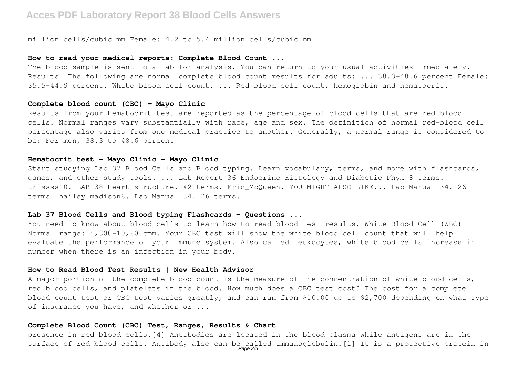million cells/cubic mm Female: 4.2 to 5.4 million cells/cubic mm

#### **How to read your medical reports: Complete Blood Count ...**

The blood sample is sent to a lab for analysis. You can return to your usual activities immediately. Results. The following are normal complete blood count results for adults: ... 38.3-48.6 percent Female: 35.5-44.9 percent. White blood cell count. ... Red blood cell count, hemoglobin and hematocrit.

## **Complete blood count (CBC) - Mayo Clinic**

Results from your hematocrit test are reported as the percentage of blood cells that are red blood cells. Normal ranges vary substantially with race, age and sex. The definition of normal red-blood cell percentage also varies from one medical practice to another. Generally, a normal range is considered to be: For men, 38.3 to 48.6 percent

## **Hematocrit test - Mayo Clinic - Mayo Clinic**

Start studying Lab 37 Blood Cells and Blood typing. Learn vocabulary, terms, and more with flashcards, games, and other study tools. ... Lab Report 36 Endocrine Histology and Diabetic Phy... 8 terms. trissss10. LAB 38 heart structure. 42 terms. Eric McQueen. YOU MIGHT ALSO LIKE... Lab Manual 34. 26 terms. hailey madison8. Lab Manual 34. 26 terms.

## **Lab 37 Blood Cells and Blood typing Flashcards - Questions ...**

You need to know about blood cells to learn how to read blood test results. White Blood Cell (WBC) Normal range: 4,300-10,800cmm. Your CBC test will show the white blood cell count that will help evaluate the performance of your immune system. Also called leukocytes, white blood cells increase in number when there is an infection in your body.

## **How to Read Blood Test Results | New Health Advisor**

A major portion of the complete blood count is the measure of the concentration of white blood cells, red blood cells, and platelets in the blood. How much does a CBC test cost? The cost for a complete blood count test or CBC test varies greatly, and can run from \$10.00 up to \$2,700 depending on what type of insurance you have, and whether or ...

## **Complete Blood Count (CBC) Test, Ranges, Results & Chart**

presence in red blood cells.[4] Antibodies are located in the blood plasma while antigens are in the surface of red blood cells. Antibody also can be called immunoglobulin.[1] It is a protective protein in<br>Page 2/5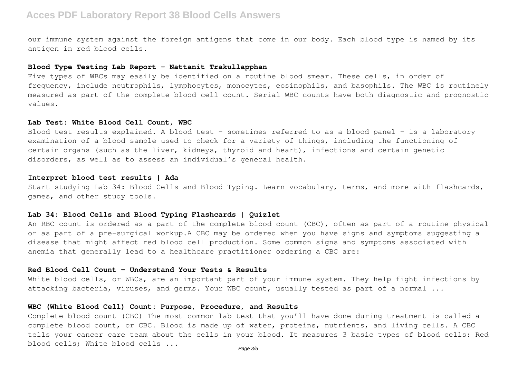our immune system against the foreign antigens that come in our body. Each blood type is named by its antigen in red blood cells.

## **Blood Type Testing Lab Report - Nattanit Trakullapphan**

Five types of WBCs may easily be identified on a routine blood smear. These cells, in order of frequency, include neutrophils, lymphocytes, monocytes, eosinophils, and basophils. The WBC is routinely measured as part of the complete blood cell count. Serial WBC counts have both diagnostic and prognostic values.

#### **Lab Test: White Blood Cell Count, WBC**

Blood test results explained. A blood test – sometimes referred to as a blood panel – is a laboratory examination of a blood sample used to check for a variety of things, including the functioning of certain organs (such as the liver, kidneys, thyroid and heart), infections and certain genetic disorders, as well as to assess an individual's general health.

## **Interpret blood test results | Ada**

Start studying Lab 34: Blood Cells and Blood Typing. Learn vocabulary, terms, and more with flashcards, games, and other study tools.

## **Lab 34: Blood Cells and Blood Typing Flashcards | Quizlet**

An RBC count is ordered as a part of the complete blood count (CBC), often as part of a routine physical or as part of a pre-surgical workup.A CBC may be ordered when you have signs and symptoms suggesting a disease that might affect red blood cell production. Some common signs and symptoms associated with anemia that generally lead to a healthcare practitioner ordering a CBC are:

#### **Red Blood Cell Count - Understand Your Tests & Results**

White blood cells, or WBCs, are an important part of your immune system. They help fight infections by attacking bacteria, viruses, and germs. Your WBC count, usually tested as part of a normal ...

## **WBC (White Blood Cell) Count: Purpose, Procedure, and Results**

Complete blood count (CBC) The most common lab test that you'll have done during treatment is called a complete blood count, or CBC. Blood is made up of water, proteins, nutrients, and living cells. A CBC tells your cancer care team about the cells in your blood. It measures 3 basic types of blood cells: Red blood cells; White blood cells ...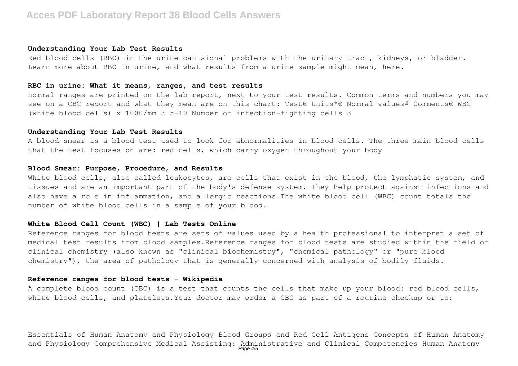#### **Understanding Your Lab Test Results**

Red blood cells (RBC) in the urine can signal problems with the urinary tract, kidneys, or bladder. Learn more about RBC in urine, and what results from a urine sample might mean, here.

#### **RBC in urine: What it means, ranges, and test results**

normal ranges are printed on the lab report, next to your test results. Common terms and numbers you may see on a CBC report and what they mean are on this chart: Test€ Units\*€ Normal values# Comments€ WBC (white blood cells) x 1000/mm 3 5–10 Number of infection-fighting cells 3

#### **Understanding Your Lab Test Results**

A blood smear is a blood test used to look for abnormalities in blood cells. The three main blood cells that the test focuses on are: red cells, which carry oxygen throughout your body

## **Blood Smear: Purpose, Procedure, and Results**

White blood cells, also called leukocytes, are cells that exist in the blood, the lymphatic system, and tissues and are an important part of the body's defense system. They help protect against infections and also have a role in inflammation, and allergic reactions.The white blood cell (WBC) count totals the number of white blood cells in a sample of your blood.

## **White Blood Cell Count (WBC) | Lab Tests Online**

Reference ranges for blood tests are sets of values used by a health professional to interpret a set of medical test results from blood samples.Reference ranges for blood tests are studied within the field of clinical chemistry (also known as "clinical biochemistry", "chemical pathology" or "pure blood chemistry"), the area of pathology that is generally concerned with analysis of bodily fluids.

#### **Reference ranges for blood tests - Wikipedia**

A complete blood count (CBC) is a test that counts the cells that make up your blood: red blood cells, white blood cells, and platelets. Your doctor may order a CBC as part of a routine checkup or to:

Essentials of Human Anatomy and Physiology Blood Groups and Red Cell Antigens Concepts of Human Anatomy and Physiology Comprehensive Medical Assisting: Administrative and Clinical Competencies Human Anatomy<br>Page 4/5